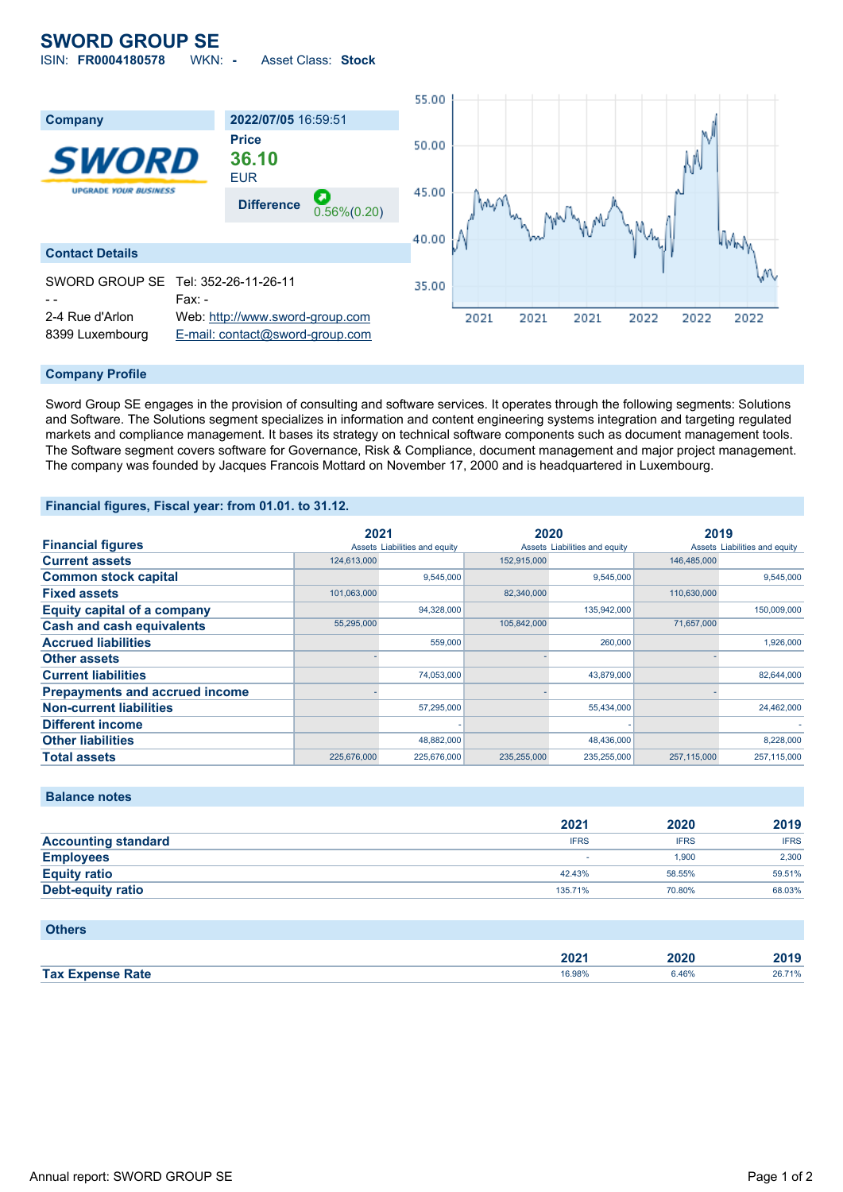# **SWORD GROUP SE**

ISIN: **FR0004180578** WKN: **-** Asset Class: **Stock**



## **Company Profile**

Sword Group SE engages in the provision of consulting and software services. It operates through the following segments: Solutions and Software. The Solutions segment specializes in information and content engineering systems integration and targeting regulated markets and compliance management. It bases its strategy on technical software components such as document management tools. The Software segment covers software for Governance, Risk & Compliance, document management and major project management. The company was founded by Jacques Francois Mottard on November 17, 2000 and is headquartered in Luxembourg.

## **Financial figures, Fiscal year: from 01.01. to 31.12.**

|                                       | 2021        |                               | 2020        |                               | 2019        |                               |
|---------------------------------------|-------------|-------------------------------|-------------|-------------------------------|-------------|-------------------------------|
| <b>Financial figures</b>              |             | Assets Liabilities and equity |             | Assets Liabilities and equity |             | Assets Liabilities and equity |
| <b>Current assets</b>                 | 124,613,000 |                               | 152,915,000 |                               | 146,485,000 |                               |
| <b>Common stock capital</b>           |             | 9,545,000                     |             | 9,545,000                     |             | 9,545,000                     |
| <b>Fixed assets</b>                   | 101,063,000 |                               | 82,340,000  |                               | 110,630,000 |                               |
| <b>Equity capital of a company</b>    |             | 94,328,000                    |             | 135,942,000                   |             | 150,009,000                   |
| <b>Cash and cash equivalents</b>      | 55,295,000  |                               | 105.842.000 |                               | 71,657,000  |                               |
| <b>Accrued liabilities</b>            |             | 559,000                       |             | 260,000                       |             | 1,926,000                     |
| <b>Other assets</b>                   |             |                               |             |                               |             |                               |
| <b>Current liabilities</b>            |             | 74,053,000                    |             | 43,879,000                    |             | 82.644.000                    |
| <b>Prepayments and accrued income</b> |             |                               |             |                               |             |                               |
| <b>Non-current liabilities</b>        |             | 57,295,000                    |             | 55,434,000                    |             | 24,462,000                    |
| <b>Different income</b>               |             |                               |             |                               |             |                               |
| <b>Other liabilities</b>              |             | 48,882,000                    |             | 48,436,000                    |             | 8.228.000                     |
| <b>Total assets</b>                   | 225.676.000 | 225.676.000                   | 235.255.000 | 235.255.000                   | 257.115.000 | 257.115.000                   |

# **Balance notes**

|                            | 2021        | 2020        | 2019        |
|----------------------------|-------------|-------------|-------------|
| <b>Accounting standard</b> | <b>IFRS</b> | <b>IFRS</b> | <b>IFRS</b> |
| <b>Employees</b>           |             | 1.900       | 2,300       |
| <b>Equity ratio</b>        | 42.43%      | 58.55%      | 59.51%      |
| <b>Debt-equity ratio</b>   | 135.71%     | 70.80%      | 68.03%      |

#### **Others**

|                         | ימחה<br>ZUZ ' | 2020 | 2019   |
|-------------------------|---------------|------|--------|
| <b>Tax Expense Rate</b> | 16.98%        | 46%، | 26.71% |